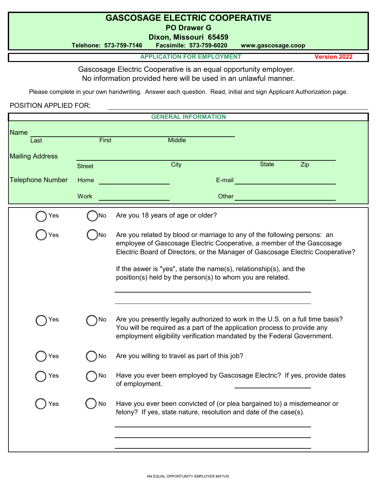## **GASCOSAGE ELECTRIC COOPERATIVE PO Drawer G**

**Dixon, Missouri 65459**

**Telehone: 573-759-7146 Facsimile: 573-759-6020 www.gascosage.coop**

**APPLICATION FOR EMPLOYMENT Version 2022**

Gascosage Electric Cooperative is an equal opportunity employer. No information provided here will be used in an unlawful manner.

Please complete in your own handwriting. Answer each question. Read, initial and sign Applicant Authorization page.

POSITION APPLIED FOR:

|                         |                       | <b>GENERAL INFORMATION</b>                                                                                                                                                                                                                                                                                                                                              |
|-------------------------|-----------------------|-------------------------------------------------------------------------------------------------------------------------------------------------------------------------------------------------------------------------------------------------------------------------------------------------------------------------------------------------------------------------|
| <b>Name</b><br>Last     | <b>First</b>          | <b>Middle</b>                                                                                                                                                                                                                                                                                                                                                           |
| <b>Mailing Address</b>  |                       | City<br><b>State</b><br>Zip                                                                                                                                                                                                                                                                                                                                             |
| <b>Telephone Number</b> | <b>Street</b><br>Home | E-mail                                                                                                                                                                                                                                                                                                                                                                  |
|                         | <b>Work</b>           | Other                                                                                                                                                                                                                                                                                                                                                                   |
| Yes                     | No                    | Are you 18 years of age or older?                                                                                                                                                                                                                                                                                                                                       |
| 'es                     | No                    | Are you related by blood or marriage to any of the following persons: an<br>employee of Gascosage Electric Cooperative, a member of the Gascosage<br>Electric Board of Directors, or the Manager of Gascosage Electric Cooperative?<br>If the aswer is "yes", state the name(s), relationship(s), and the<br>position(s) held by the person(s) to whom you are related. |
| 'es                     | Νo                    | Are you presently legally authorized to work in the U.S. on a full time basis?<br>You will be required as a part of the application process to provide any<br>employment eligibility verification mandated by the Federal Government.                                                                                                                                   |
| Yes                     | No                    | Are you willing to travel as part of this job?                                                                                                                                                                                                                                                                                                                          |
| es                      | No                    | Have you ever been employed by Gascosage Electric? If yes, provide dates<br>of employment.                                                                                                                                                                                                                                                                              |
| Yes                     | No                    | Have you ever been convicted of (or plea bargained to) a misdemeanor or<br>felony? If yes, state nature, resolution and date of the case(s).                                                                                                                                                                                                                            |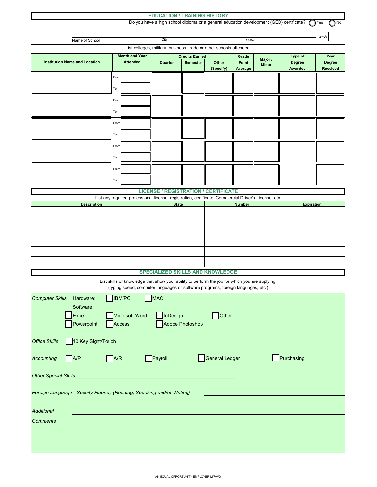#### **EDUCATION / TRAINING HISTORY**

 $O<sub>No</sub>$ Do you have a high school diploma or a general education development (GED) certificate? <br>
Yes

|                        | Name of School                                                        |                                                                                                                                                                                    | City                                                                |                                          |                | State          |              |                   | <b>GPA</b>      |
|------------------------|-----------------------------------------------------------------------|------------------------------------------------------------------------------------------------------------------------------------------------------------------------------------|---------------------------------------------------------------------|------------------------------------------|----------------|----------------|--------------|-------------------|-----------------|
|                        |                                                                       |                                                                                                                                                                                    | List colleges, military, business, trade or other schools attended. |                                          |                |                |              |                   |                 |
|                        |                                                                       | <b>Month and Year</b>                                                                                                                                                              |                                                                     |                                          |                |                |              | Type of           | Year            |
|                        | <b>Institution Name and Location</b>                                  | <b>Attended</b>                                                                                                                                                                    | Quarter                                                             | <b>Credits Earned</b><br><b>Semester</b> | Other          | Grade<br>Point | Major /      | <b>Degree</b>     | <b>Degree</b>   |
|                        |                                                                       |                                                                                                                                                                                    |                                                                     |                                          | (Specify)      | Average        | <b>Minor</b> | Awarded           | <b>Received</b> |
|                        |                                                                       | From                                                                                                                                                                               |                                                                     |                                          |                |                |              |                   |                 |
|                        |                                                                       |                                                                                                                                                                                    |                                                                     |                                          |                |                |              |                   |                 |
|                        |                                                                       | To                                                                                                                                                                                 |                                                                     |                                          |                |                |              |                   |                 |
|                        |                                                                       | From                                                                                                                                                                               |                                                                     |                                          |                |                |              |                   |                 |
|                        |                                                                       |                                                                                                                                                                                    |                                                                     |                                          |                |                |              |                   |                 |
|                        |                                                                       | To                                                                                                                                                                                 |                                                                     |                                          |                |                |              |                   |                 |
|                        |                                                                       | From                                                                                                                                                                               |                                                                     |                                          |                |                |              |                   |                 |
|                        |                                                                       | To                                                                                                                                                                                 |                                                                     |                                          |                |                |              |                   |                 |
|                        |                                                                       |                                                                                                                                                                                    |                                                                     |                                          |                |                |              |                   |                 |
|                        |                                                                       | From                                                                                                                                                                               |                                                                     |                                          |                |                |              |                   |                 |
|                        |                                                                       | To                                                                                                                                                                                 |                                                                     |                                          |                |                |              |                   |                 |
|                        |                                                                       | From                                                                                                                                                                               |                                                                     |                                          |                |                |              |                   |                 |
|                        |                                                                       |                                                                                                                                                                                    |                                                                     |                                          |                |                |              |                   |                 |
|                        |                                                                       | To                                                                                                                                                                                 |                                                                     |                                          |                |                |              |                   |                 |
|                        |                                                                       |                                                                                                                                                                                    | <b>LICENSE / REGISTRATION / CERTIFICATE</b>                         |                                          |                |                |              |                   |                 |
|                        | <b>Description</b>                                                    | List any required professional license, registration, certificate, Commercial Driver's License, etc.                                                                               | <b>State</b>                                                        |                                          |                | <b>Number</b>  |              | <b>Expiration</b> |                 |
|                        |                                                                       |                                                                                                                                                                                    |                                                                     |                                          |                |                |              |                   |                 |
|                        |                                                                       |                                                                                                                                                                                    |                                                                     |                                          |                |                |              |                   |                 |
|                        |                                                                       |                                                                                                                                                                                    |                                                                     |                                          |                |                |              |                   |                 |
|                        |                                                                       |                                                                                                                                                                                    |                                                                     |                                          |                |                |              |                   |                 |
|                        |                                                                       |                                                                                                                                                                                    |                                                                     |                                          |                |                |              |                   |                 |
|                        |                                                                       |                                                                                                                                                                                    |                                                                     |                                          |                |                |              |                   |                 |
|                        |                                                                       |                                                                                                                                                                                    |                                                                     |                                          |                |                |              |                   |                 |
|                        |                                                                       |                                                                                                                                                                                    | <b>SPECIALIZED SKILLS AND KNOWLEDGE</b>                             |                                          |                |                |              |                   |                 |
|                        |                                                                       | List skills or knowledge that show your ability to perform the job for which you are applying.<br>(typing speed, computer languages or software programs, foreign languages, etc.) |                                                                     |                                          |                |                |              |                   |                 |
|                        |                                                                       |                                                                                                                                                                                    |                                                                     |                                          |                |                |              |                   |                 |
| <b>Computer Skills</b> | Hardware:                                                             | <b>IBM/PC</b>                                                                                                                                                                      | <b>MAC</b>                                                          |                                          |                |                |              |                   |                 |
|                        | Software:                                                             |                                                                                                                                                                                    |                                                                     |                                          |                |                |              |                   |                 |
|                        | Excel                                                                 | Microsoft Word                                                                                                                                                                     | InDesign                                                            |                                          | Other          |                |              |                   |                 |
|                        | Powerpoint                                                            | Access                                                                                                                                                                             |                                                                     | Adobe Photoshop                          |                |                |              |                   |                 |
|                        |                                                                       |                                                                                                                                                                                    |                                                                     |                                          |                |                |              |                   |                 |
| <b>Office Skills</b>   | 10 Key Sight/Touch                                                    |                                                                                                                                                                                    |                                                                     |                                          |                |                |              |                   |                 |
| <b>Accounting</b>      | A/P                                                                   | A/R                                                                                                                                                                                | Payroll                                                             |                                          | General Ledger |                |              | Purchasing        |                 |
|                        |                                                                       |                                                                                                                                                                                    |                                                                     |                                          |                |                |              |                   |                 |
|                        | Other Special Skills <b>Contract Contract of the Special Skills</b>   |                                                                                                                                                                                    |                                                                     |                                          |                |                |              |                   |                 |
|                        |                                                                       |                                                                                                                                                                                    |                                                                     |                                          |                |                |              |                   |                 |
|                        | Foreign Language - Specify Fluency (Reading, Speaking and/or Writing) |                                                                                                                                                                                    |                                                                     |                                          |                |                |              |                   |                 |
| <b>Additional</b>      |                                                                       |                                                                                                                                                                                    |                                                                     |                                          |                |                |              |                   |                 |
| <b>Comments</b>        |                                                                       |                                                                                                                                                                                    |                                                                     |                                          |                |                |              |                   |                 |
|                        |                                                                       |                                                                                                                                                                                    |                                                                     |                                          |                |                |              |                   |                 |
|                        |                                                                       |                                                                                                                                                                                    |                                                                     |                                          |                |                |              |                   |                 |
|                        |                                                                       |                                                                                                                                                                                    |                                                                     |                                          |                |                |              |                   |                 |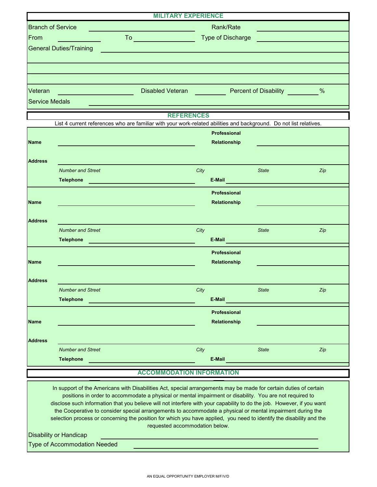|                                | <b>MILITARY EXPERIENCE</b> |                                                    |               |
|--------------------------------|----------------------------|----------------------------------------------------|---------------|
| <b>Branch of Service</b>       |                            | Rank/Rate                                          |               |
| From                           | To                         | Type of Discharge                                  |               |
| <b>General Duties/Training</b> |                            |                                                    |               |
|                                |                            |                                                    |               |
|                                |                            |                                                    |               |
|                                |                            |                                                    |               |
| Veteran                        | <b>Disabled Veteran</b>    | <b>Percent of Disability Percent of Disability</b> | $\frac{0}{6}$ |
| <b>Service Medals</b>          |                            |                                                    |               |

**REFERENCES**

|                | List 4 current references who are familiar with your work-related abilities and background. Do not list relatives.                                                                                                                                       | ,,,,,,,,,,,,,,,,, |                                                                 |              |                                                                                                                |
|----------------|----------------------------------------------------------------------------------------------------------------------------------------------------------------------------------------------------------------------------------------------------------|-------------------|-----------------------------------------------------------------|--------------|----------------------------------------------------------------------------------------------------------------|
| <b>Name</b>    |                                                                                                                                                                                                                                                          |                   | <b>Professional</b><br>Relationship                             |              |                                                                                                                |
|                |                                                                                                                                                                                                                                                          |                   |                                                                 |              |                                                                                                                |
| <b>Address</b> |                                                                                                                                                                                                                                                          |                   |                                                                 |              |                                                                                                                |
|                | <b>Number and Street</b>                                                                                                                                                                                                                                 | City              |                                                                 | <b>State</b> | Zip                                                                                                            |
|                | <b>Telephone</b><br><u> 1999 - Johann Stein, mars ann an t-</u>                                                                                                                                                                                          |                   | E-Mail <b>E-Mail Property of the Community of the Community</b> |              |                                                                                                                |
|                |                                                                                                                                                                                                                                                          |                   | <b>Professional</b>                                             |              |                                                                                                                |
| <b>Name</b>    |                                                                                                                                                                                                                                                          |                   | Relationship                                                    |              |                                                                                                                |
|                |                                                                                                                                                                                                                                                          |                   |                                                                 |              |                                                                                                                |
| <b>Address</b> |                                                                                                                                                                                                                                                          |                   |                                                                 |              |                                                                                                                |
|                | <b>Number and Street</b>                                                                                                                                                                                                                                 | City              |                                                                 | <b>State</b> | Zip                                                                                                            |
|                | <b>Telephone</b><br><u>and the state of the state of the state of the state of the state of the state of the state of the state of the state of the state of the state of the state of the state of the state of the state of the state of the state</u> |                   | E-Mail <b>E-Mail Property of the Community</b>                  |              |                                                                                                                |
|                |                                                                                                                                                                                                                                                          |                   | <b>Professional</b>                                             |              |                                                                                                                |
| <b>Name</b>    |                                                                                                                                                                                                                                                          |                   | Relationship                                                    |              |                                                                                                                |
|                |                                                                                                                                                                                                                                                          |                   |                                                                 |              |                                                                                                                |
| <b>Address</b> |                                                                                                                                                                                                                                                          |                   |                                                                 |              |                                                                                                                |
|                | <b>Number and Street</b>                                                                                                                                                                                                                                 | City              |                                                                 | <b>State</b> | Zip                                                                                                            |
|                | <b>Telephone</b><br><u> 1989 - Johann Barbara, martxa alemaniar a</u>                                                                                                                                                                                    |                   |                                                                 |              | E-Mail Property of the Community of the Community of the Community of the Community of the Community of the Co |
|                |                                                                                                                                                                                                                                                          |                   | Professional                                                    |              |                                                                                                                |
| <b>Name</b>    |                                                                                                                                                                                                                                                          |                   | Relationship                                                    |              |                                                                                                                |
|                |                                                                                                                                                                                                                                                          |                   |                                                                 |              |                                                                                                                |
| <b>Address</b> |                                                                                                                                                                                                                                                          |                   |                                                                 |              |                                                                                                                |
|                | <b>Number and Street</b>                                                                                                                                                                                                                                 | City              |                                                                 | <b>State</b> | Zip                                                                                                            |
|                | <b>Telephone</b>                                                                                                                                                                                                                                         |                   | E-Mail                                                          |              |                                                                                                                |
|                |                                                                                                                                                                                                                                                          |                   |                                                                 |              |                                                                                                                |

### **ACCOMMODATION INFORMATION**

the Cooperative to consider special arrangements to accommodate a physical or mental impairment during the selection process or concerning the position for which you have applied, you need to identify the disability and the In support of the Americans with Disabilities Act, special arrangements may be made for certain duties of certain positions in order to accommodate a physical or mental impairment or disability. You are not required to disclose such information that you believe will not interfere with your capability to do the job. However, if you want requested accommodation below.

Disability or Handicap

Type of Accommodation Needed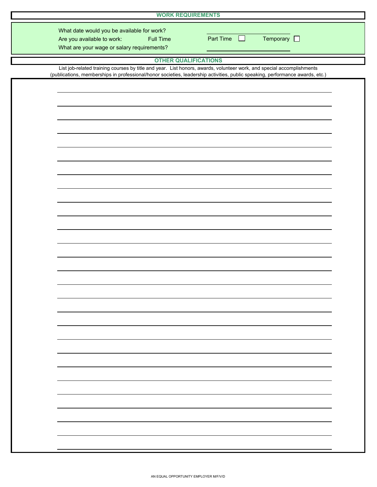| <b>WORK REQUIREMENTS</b>                                                                                                                                                                                                                               |           |                     |  |
|--------------------------------------------------------------------------------------------------------------------------------------------------------------------------------------------------------------------------------------------------------|-----------|---------------------|--|
| What date would you be available for work?<br>Are you available to work:<br><b>Full Time</b><br>What are your wage or salary requirements?                                                                                                             | Part Time | Temporary $\square$ |  |
| <b>OTHER QUALIFICATIONS</b>                                                                                                                                                                                                                            |           |                     |  |
| List job-related training courses by title and year. List honors, awards, volunteer work, and special accomplishments<br>(publications, memberships in professional/honor societies, leadership activities, public speaking, performance awards, etc.) |           |                     |  |
|                                                                                                                                                                                                                                                        |           |                     |  |
|                                                                                                                                                                                                                                                        |           |                     |  |
|                                                                                                                                                                                                                                                        |           |                     |  |
|                                                                                                                                                                                                                                                        |           |                     |  |
|                                                                                                                                                                                                                                                        |           |                     |  |
|                                                                                                                                                                                                                                                        |           |                     |  |
|                                                                                                                                                                                                                                                        |           |                     |  |
|                                                                                                                                                                                                                                                        |           |                     |  |
|                                                                                                                                                                                                                                                        |           |                     |  |
|                                                                                                                                                                                                                                                        |           |                     |  |
|                                                                                                                                                                                                                                                        |           |                     |  |
|                                                                                                                                                                                                                                                        |           |                     |  |
|                                                                                                                                                                                                                                                        |           |                     |  |
|                                                                                                                                                                                                                                                        |           |                     |  |
|                                                                                                                                                                                                                                                        |           |                     |  |
|                                                                                                                                                                                                                                                        |           |                     |  |
|                                                                                                                                                                                                                                                        |           |                     |  |
|                                                                                                                                                                                                                                                        |           |                     |  |
|                                                                                                                                                                                                                                                        |           |                     |  |
|                                                                                                                                                                                                                                                        |           |                     |  |
|                                                                                                                                                                                                                                                        |           |                     |  |
|                                                                                                                                                                                                                                                        |           |                     |  |
|                                                                                                                                                                                                                                                        |           |                     |  |
|                                                                                                                                                                                                                                                        |           |                     |  |
|                                                                                                                                                                                                                                                        |           |                     |  |
|                                                                                                                                                                                                                                                        |           |                     |  |
|                                                                                                                                                                                                                                                        |           |                     |  |
|                                                                                                                                                                                                                                                        |           |                     |  |
|                                                                                                                                                                                                                                                        |           |                     |  |
|                                                                                                                                                                                                                                                        |           |                     |  |
|                                                                                                                                                                                                                                                        |           |                     |  |
|                                                                                                                                                                                                                                                        |           |                     |  |
|                                                                                                                                                                                                                                                        |           |                     |  |

I

I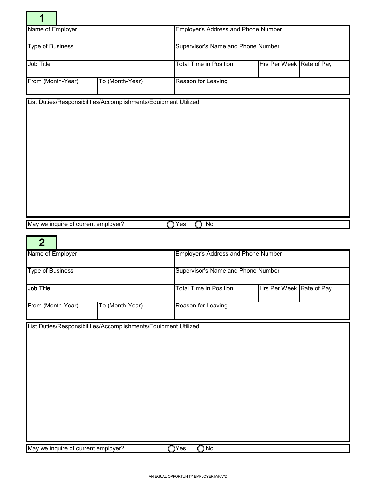| <b>Employer's Address and Phone Number</b><br>Supervisor's Name and Phone Number<br><b>Total Time in Position</b><br>Hrs Per Week Rate of Pay<br>To (Month-Year)<br>Reason for Leaving<br>List Duties/Responsibilities/Accomplishments/Equipment Utilized<br>$\bigcap$ Yes<br>$\bigcirc$ No<br>May we inquire of current employer?<br>$\overline{2}$<br><b>Employer's Address and Phone Number</b><br>Supervisor's Name and Phone Number<br>Hrs Per Week Rate of Pay<br>Total Time in Position<br>To (Month-Year)<br>Reason for Leaving<br>List Duties/Responsibilities/Accomplishments/Equipment Utilized<br>О∾<br>$\bigcirc$ Yes<br>May we inquire of current employer? | 1                       |  |  |  |  |  |  |
|---------------------------------------------------------------------------------------------------------------------------------------------------------------------------------------------------------------------------------------------------------------------------------------------------------------------------------------------------------------------------------------------------------------------------------------------------------------------------------------------------------------------------------------------------------------------------------------------------------------------------------------------------------------------------|-------------------------|--|--|--|--|--|--|
|                                                                                                                                                                                                                                                                                                                                                                                                                                                                                                                                                                                                                                                                           | Name of Employer        |  |  |  |  |  |  |
|                                                                                                                                                                                                                                                                                                                                                                                                                                                                                                                                                                                                                                                                           | <b>Type of Business</b> |  |  |  |  |  |  |
|                                                                                                                                                                                                                                                                                                                                                                                                                                                                                                                                                                                                                                                                           | Job Title               |  |  |  |  |  |  |
|                                                                                                                                                                                                                                                                                                                                                                                                                                                                                                                                                                                                                                                                           | From (Month-Year)       |  |  |  |  |  |  |
|                                                                                                                                                                                                                                                                                                                                                                                                                                                                                                                                                                                                                                                                           |                         |  |  |  |  |  |  |
|                                                                                                                                                                                                                                                                                                                                                                                                                                                                                                                                                                                                                                                                           | Name of Employer        |  |  |  |  |  |  |
|                                                                                                                                                                                                                                                                                                                                                                                                                                                                                                                                                                                                                                                                           | <b>Type of Business</b> |  |  |  |  |  |  |
|                                                                                                                                                                                                                                                                                                                                                                                                                                                                                                                                                                                                                                                                           | Job Title               |  |  |  |  |  |  |
|                                                                                                                                                                                                                                                                                                                                                                                                                                                                                                                                                                                                                                                                           | From (Month-Year)       |  |  |  |  |  |  |
|                                                                                                                                                                                                                                                                                                                                                                                                                                                                                                                                                                                                                                                                           |                         |  |  |  |  |  |  |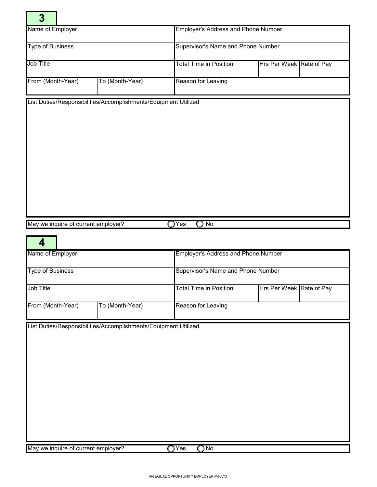| $\overline{\mathbf{3}}$             |                                                                 |                                            |                          |  |  |  |
|-------------------------------------|-----------------------------------------------------------------|--------------------------------------------|--------------------------|--|--|--|
| Name of Employer                    |                                                                 | <b>Employer's Address and Phone Number</b> |                          |  |  |  |
| <b>Type of Business</b>             |                                                                 | Supervisor's Name and Phone Number         |                          |  |  |  |
| Job Title                           |                                                                 | <b>Total Time in Position</b>              | Hrs Per Week Rate of Pay |  |  |  |
| From (Month-Year)                   | To (Month-Year)                                                 | Reason for Leaving                         |                          |  |  |  |
|                                     | List Duties/Responsibilities/Accomplishments/Equipment Utilized |                                            |                          |  |  |  |
|                                     |                                                                 |                                            |                          |  |  |  |
|                                     |                                                                 |                                            |                          |  |  |  |
|                                     |                                                                 |                                            |                          |  |  |  |
|                                     |                                                                 |                                            |                          |  |  |  |
|                                     |                                                                 |                                            |                          |  |  |  |
|                                     |                                                                 |                                            |                          |  |  |  |
|                                     |                                                                 |                                            |                          |  |  |  |
| May we inquire of current employer? |                                                                 | $\bigcirc$ No<br>$\bigcirc$ Yes            |                          |  |  |  |
| 4                                   |                                                                 |                                            |                          |  |  |  |
| Name of Employer                    |                                                                 | Employer's Address and Phone Number        |                          |  |  |  |
| <b>Type of Business</b>             |                                                                 | Supervisor's Name and Phone Number         |                          |  |  |  |
| Job Title                           |                                                                 | <b>Total Time in Position</b>              | Hrs Per Week Rate of Pay |  |  |  |
|                                     |                                                                 |                                            |                          |  |  |  |
| From (Month-Year)                   | To (Month-Year)                                                 | Reason for Leaving                         |                          |  |  |  |
|                                     | List Duties/Responsibilities/Accomplishments/Equipment Utilized |                                            |                          |  |  |  |
|                                     |                                                                 |                                            |                          |  |  |  |
|                                     |                                                                 |                                            |                          |  |  |  |
|                                     |                                                                 |                                            |                          |  |  |  |
|                                     |                                                                 |                                            |                          |  |  |  |
|                                     |                                                                 |                                            |                          |  |  |  |
|                                     |                                                                 |                                            |                          |  |  |  |
|                                     |                                                                 |                                            |                          |  |  |  |
|                                     |                                                                 |                                            |                          |  |  |  |
| May we inquire of current employer? |                                                                 | $\overline{\bigcirc}$ Yes<br>$\bigcirc$ No |                          |  |  |  |

÷.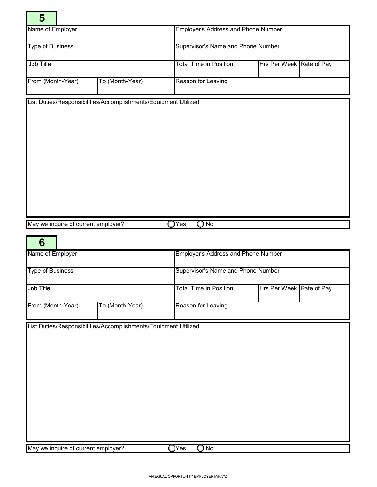| 5                                   |                                                                 |                                            |                                    |  |  |  |  |
|-------------------------------------|-----------------------------------------------------------------|--------------------------------------------|------------------------------------|--|--|--|--|
| Name of Employer                    |                                                                 | <b>Employer's Address and Phone Number</b> |                                    |  |  |  |  |
| <b>Type of Business</b>             |                                                                 | Supervisor's Name and Phone Number         |                                    |  |  |  |  |
| Job Title                           |                                                                 | <b>Total Time in Position</b>              | Hrs Per Week Rate of Pay           |  |  |  |  |
| From (Month-Year)                   | To (Month-Year)                                                 | Reason for Leaving                         |                                    |  |  |  |  |
|                                     | List Duties/Responsibilities/Accomplishments/Equipment Utilized |                                            |                                    |  |  |  |  |
|                                     |                                                                 |                                            |                                    |  |  |  |  |
|                                     |                                                                 |                                            |                                    |  |  |  |  |
|                                     |                                                                 |                                            |                                    |  |  |  |  |
|                                     |                                                                 |                                            |                                    |  |  |  |  |
|                                     |                                                                 |                                            |                                    |  |  |  |  |
|                                     |                                                                 |                                            |                                    |  |  |  |  |
|                                     |                                                                 |                                            |                                    |  |  |  |  |
| May we inquire of current employer? |                                                                 | $\bigcirc$ No<br>$\bigcirc$ Yes            |                                    |  |  |  |  |
| 6                                   |                                                                 |                                            |                                    |  |  |  |  |
| Name of Employer                    |                                                                 | Employer's Address and Phone Number        |                                    |  |  |  |  |
| <b>Type of Business</b>             |                                                                 |                                            | Supervisor's Name and Phone Number |  |  |  |  |
| Job Title                           |                                                                 | <b>Total Time in Position</b>              | Hrs Per Week Rate of Pay           |  |  |  |  |
| From (Month-Year)                   | To (Month-Year)                                                 | Reason for Leaving                         |                                    |  |  |  |  |
|                                     | List Duties/Responsibilities/Accomplishments/Equipment Utilized |                                            |                                    |  |  |  |  |
|                                     |                                                                 |                                            |                                    |  |  |  |  |
|                                     |                                                                 |                                            |                                    |  |  |  |  |
|                                     |                                                                 |                                            |                                    |  |  |  |  |
|                                     |                                                                 |                                            |                                    |  |  |  |  |
|                                     |                                                                 |                                            |                                    |  |  |  |  |
|                                     |                                                                 |                                            |                                    |  |  |  |  |
|                                     |                                                                 |                                            |                                    |  |  |  |  |
|                                     |                                                                 |                                            |                                    |  |  |  |  |
| May we inquire of current employer? |                                                                 | $\mathsf{O}$ Yes<br>$\bigcirc$ No          |                                    |  |  |  |  |

۰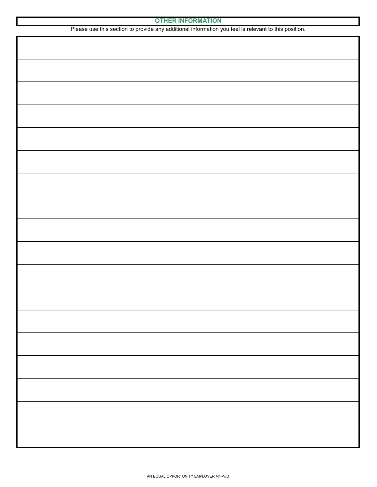| <b>OTHER INFORMATION</b> |  |
|--------------------------|--|
|--------------------------|--|

| Please use this section to provide any additional information you feel is relevant to this position. |
|------------------------------------------------------------------------------------------------------|
|                                                                                                      |
|                                                                                                      |
|                                                                                                      |
|                                                                                                      |
|                                                                                                      |
|                                                                                                      |
|                                                                                                      |
|                                                                                                      |
|                                                                                                      |
|                                                                                                      |
|                                                                                                      |
|                                                                                                      |
|                                                                                                      |
|                                                                                                      |
|                                                                                                      |
|                                                                                                      |
|                                                                                                      |
|                                                                                                      |
|                                                                                                      |
|                                                                                                      |
|                                                                                                      |
|                                                                                                      |
|                                                                                                      |
|                                                                                                      |
|                                                                                                      |
|                                                                                                      |
|                                                                                                      |
|                                                                                                      |
|                                                                                                      |
|                                                                                                      |
|                                                                                                      |
|                                                                                                      |
|                                                                                                      |
|                                                                                                      |
|                                                                                                      |
|                                                                                                      |
|                                                                                                      |
|                                                                                                      |
|                                                                                                      |
|                                                                                                      |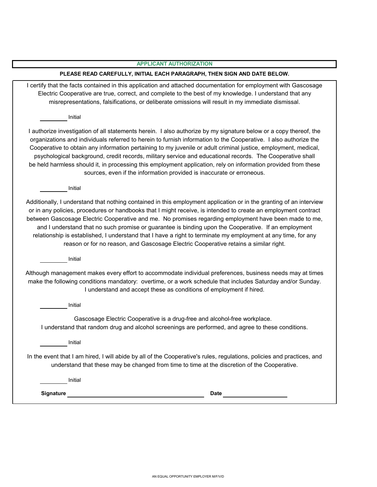|--|

#### **PLEASE READ CAREFULLY, INITIAL EACH PARAGRAPH, THEN SIGN AND DATE BELOW.**

Electric Cooperative are true, correct, and complete to the best of my knowledge. I understand that any I certify that the facts contained in this application and attached documentation for employment with Gascosage misrepresentations, falsifications, or deliberate omissions will result in my immediate dismissal.

Initial

Cooperative to obtain any information pertaining to my juvenile or adult criminal justice, employment, medical, I authorize investigation of all statements herein. I also authorize by my signature below or a copy thereof, the organizations and individuals referred to herein to furnish information to the Cooperative. I also authorize the psychological background, credit records, military service and educational records. The Cooperative shall be held harmless should it, in processing this employment application, rely on information provided from these sources, even if the information provided is inaccurate or erroneous.

Initial

Additionally, I understand that nothing contained in this employment application or in the granting of an interview and I understand that no such promise or guarantee is binding upon the Cooperative. If an employment relationship is established, I understand that I have a right to terminate my employment at any time, for any or in any policies, procedures or handbooks that I might receive, is intended to create an employment contract between Gascosage Electric Cooperative and me. No promises regarding employment have been made to me, reason or for no reason, and Gascosage Electric Cooperative retains a similar right.

Initial

Although management makes every effort to accommodate individual preferences, business needs may at times make the following conditions mandatory: overtime, or a work schedule that includes Saturday and/or Sunday. I understand and accept these as conditions of employment if hired.

Initial

Gascosage Electric Cooperative is a drug-free and alcohol-free workplace. I understand that random drug and alcohol screenings are performed, and agree to these conditions.

Initial

In the event that I am hired, I will abide by all of the Cooperative's rules, regulations, policies and practices, and understand that these may be changed from time to time at the discretion of the Cooperative.

Initial

**Signature Date**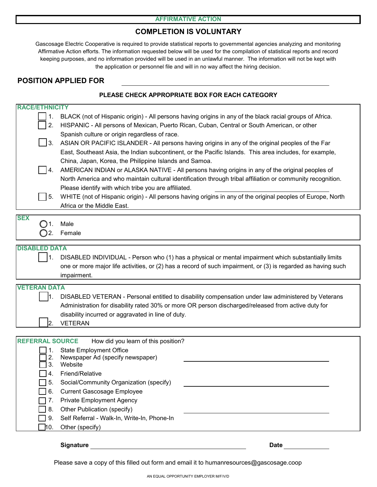#### **AFFIRMATIVE ACTION**

# **COMPLETION IS VOLUNTARY**

Gascosage Electric Cooperative is required to provide statistical reports to governmental agencies analyzing and monitoring keeping purposes, and no information provided will be used in an unlawful manner. The information will not be kept with the application or personnel file and will in no way affect the hiring decision. Affirmative Action efforts. The information requested below will be used for the compilation of statistical reports and record

## **POSITION APPLIED FOR**

### **PLEASE CHECK APPROPRIATE BOX FOR EACH CATEGORY**

| BLACK (not of Hispanic origin) - All persons having origins in any of the black racial groups of Africa.<br>HISPANIC - All persons of Mexican, Puerto Rican, Cuban, Central or South American, or other<br>2.<br>Spanish culture or origin regardless of race.<br>$\mathbf{3}$ .<br>ASIAN OR PACIFIC ISLANDER - All persons having origins in any of the original peoples of the Far<br>East, Southeast Asia, the Indian subcontinent, or the Pacific Islands. This area includes, for example,<br>China, Japan, Korea, the Philippine Islands and Samoa.<br>AMERICAN INDIAN or ALASKA NATIVE - All persons having origins in any of the original peoples of<br>4.<br>North America and who maintain cultural identification through tribal affiliation or community recognition.<br>Please identify with which tribe you are affiliated.<br>WHITE (not of Hispanic origin) - All persons having origins in any of the original peoples of Europe, North<br>5.<br>Africa or the Middle East.<br><b>SEX</b><br>Male<br>Female<br>( ) 2.<br><b>DISABLED DATA</b><br>DISABLED INDIVIDUAL - Person who (1) has a physical or mental impairment which substantially limits<br>one or more major life activities, or (2) has a record of such impairment, or (3) is regarded as having such<br>impairment.<br><b>VETERAN DATA</b><br>DISABLED VETERAN - Personal entitled to disability compensation under law administered by Veterans<br>Administration for disability rated 30% or more OR person discharged/released from active duty for<br>disability incurred or aggravated in line of duty.<br><b>VETERAN</b><br>2.<br><b>REFERRAL SOURCE</b><br>How did you learn of this position?<br><b>State Employment Office</b><br>Newspaper Ad (specify newspaper)<br>2.<br>Website<br>3.<br>Friend/Relative<br>4.<br>5.<br>Social/Community Organization (specify)<br><b>Current Gascosage Employee</b><br>6.<br><b>Private Employment Agency</b><br>Other Publication (specify)<br>8.<br>Self Referral - Walk-In, Write-In, Phone-In<br>9.<br>Other (specify)<br>10. | <b>RACE/ETHNICITY</b> |  |
|------------------------------------------------------------------------------------------------------------------------------------------------------------------------------------------------------------------------------------------------------------------------------------------------------------------------------------------------------------------------------------------------------------------------------------------------------------------------------------------------------------------------------------------------------------------------------------------------------------------------------------------------------------------------------------------------------------------------------------------------------------------------------------------------------------------------------------------------------------------------------------------------------------------------------------------------------------------------------------------------------------------------------------------------------------------------------------------------------------------------------------------------------------------------------------------------------------------------------------------------------------------------------------------------------------------------------------------------------------------------------------------------------------------------------------------------------------------------------------------------------------------------------------------------------------------------------------------------------------------------------------------------------------------------------------------------------------------------------------------------------------------------------------------------------------------------------------------------------------------------------------------------------------------------------------------------------------------------------------------------------------------------------------------------------------------|-----------------------|--|
|                                                                                                                                                                                                                                                                                                                                                                                                                                                                                                                                                                                                                                                                                                                                                                                                                                                                                                                                                                                                                                                                                                                                                                                                                                                                                                                                                                                                                                                                                                                                                                                                                                                                                                                                                                                                                                                                                                                                                                                                                                                                  |                       |  |
|                                                                                                                                                                                                                                                                                                                                                                                                                                                                                                                                                                                                                                                                                                                                                                                                                                                                                                                                                                                                                                                                                                                                                                                                                                                                                                                                                                                                                                                                                                                                                                                                                                                                                                                                                                                                                                                                                                                                                                                                                                                                  |                       |  |
|                                                                                                                                                                                                                                                                                                                                                                                                                                                                                                                                                                                                                                                                                                                                                                                                                                                                                                                                                                                                                                                                                                                                                                                                                                                                                                                                                                                                                                                                                                                                                                                                                                                                                                                                                                                                                                                                                                                                                                                                                                                                  |                       |  |
|                                                                                                                                                                                                                                                                                                                                                                                                                                                                                                                                                                                                                                                                                                                                                                                                                                                                                                                                                                                                                                                                                                                                                                                                                                                                                                                                                                                                                                                                                                                                                                                                                                                                                                                                                                                                                                                                                                                                                                                                                                                                  |                       |  |
|                                                                                                                                                                                                                                                                                                                                                                                                                                                                                                                                                                                                                                                                                                                                                                                                                                                                                                                                                                                                                                                                                                                                                                                                                                                                                                                                                                                                                                                                                                                                                                                                                                                                                                                                                                                                                                                                                                                                                                                                                                                                  |                       |  |
|                                                                                                                                                                                                                                                                                                                                                                                                                                                                                                                                                                                                                                                                                                                                                                                                                                                                                                                                                                                                                                                                                                                                                                                                                                                                                                                                                                                                                                                                                                                                                                                                                                                                                                                                                                                                                                                                                                                                                                                                                                                                  |                       |  |
|                                                                                                                                                                                                                                                                                                                                                                                                                                                                                                                                                                                                                                                                                                                                                                                                                                                                                                                                                                                                                                                                                                                                                                                                                                                                                                                                                                                                                                                                                                                                                                                                                                                                                                                                                                                                                                                                                                                                                                                                                                                                  |                       |  |
|                                                                                                                                                                                                                                                                                                                                                                                                                                                                                                                                                                                                                                                                                                                                                                                                                                                                                                                                                                                                                                                                                                                                                                                                                                                                                                                                                                                                                                                                                                                                                                                                                                                                                                                                                                                                                                                                                                                                                                                                                                                                  |                       |  |
|                                                                                                                                                                                                                                                                                                                                                                                                                                                                                                                                                                                                                                                                                                                                                                                                                                                                                                                                                                                                                                                                                                                                                                                                                                                                                                                                                                                                                                                                                                                                                                                                                                                                                                                                                                                                                                                                                                                                                                                                                                                                  |                       |  |
|                                                                                                                                                                                                                                                                                                                                                                                                                                                                                                                                                                                                                                                                                                                                                                                                                                                                                                                                                                                                                                                                                                                                                                                                                                                                                                                                                                                                                                                                                                                                                                                                                                                                                                                                                                                                                                                                                                                                                                                                                                                                  |                       |  |
|                                                                                                                                                                                                                                                                                                                                                                                                                                                                                                                                                                                                                                                                                                                                                                                                                                                                                                                                                                                                                                                                                                                                                                                                                                                                                                                                                                                                                                                                                                                                                                                                                                                                                                                                                                                                                                                                                                                                                                                                                                                                  |                       |  |
|                                                                                                                                                                                                                                                                                                                                                                                                                                                                                                                                                                                                                                                                                                                                                                                                                                                                                                                                                                                                                                                                                                                                                                                                                                                                                                                                                                                                                                                                                                                                                                                                                                                                                                                                                                                                                                                                                                                                                                                                                                                                  |                       |  |
|                                                                                                                                                                                                                                                                                                                                                                                                                                                                                                                                                                                                                                                                                                                                                                                                                                                                                                                                                                                                                                                                                                                                                                                                                                                                                                                                                                                                                                                                                                                                                                                                                                                                                                                                                                                                                                                                                                                                                                                                                                                                  |                       |  |
|                                                                                                                                                                                                                                                                                                                                                                                                                                                                                                                                                                                                                                                                                                                                                                                                                                                                                                                                                                                                                                                                                                                                                                                                                                                                                                                                                                                                                                                                                                                                                                                                                                                                                                                                                                                                                                                                                                                                                                                                                                                                  |                       |  |
|                                                                                                                                                                                                                                                                                                                                                                                                                                                                                                                                                                                                                                                                                                                                                                                                                                                                                                                                                                                                                                                                                                                                                                                                                                                                                                                                                                                                                                                                                                                                                                                                                                                                                                                                                                                                                                                                                                                                                                                                                                                                  |                       |  |
|                                                                                                                                                                                                                                                                                                                                                                                                                                                                                                                                                                                                                                                                                                                                                                                                                                                                                                                                                                                                                                                                                                                                                                                                                                                                                                                                                                                                                                                                                                                                                                                                                                                                                                                                                                                                                                                                                                                                                                                                                                                                  |                       |  |
|                                                                                                                                                                                                                                                                                                                                                                                                                                                                                                                                                                                                                                                                                                                                                                                                                                                                                                                                                                                                                                                                                                                                                                                                                                                                                                                                                                                                                                                                                                                                                                                                                                                                                                                                                                                                                                                                                                                                                                                                                                                                  |                       |  |
|                                                                                                                                                                                                                                                                                                                                                                                                                                                                                                                                                                                                                                                                                                                                                                                                                                                                                                                                                                                                                                                                                                                                                                                                                                                                                                                                                                                                                                                                                                                                                                                                                                                                                                                                                                                                                                                                                                                                                                                                                                                                  |                       |  |
|                                                                                                                                                                                                                                                                                                                                                                                                                                                                                                                                                                                                                                                                                                                                                                                                                                                                                                                                                                                                                                                                                                                                                                                                                                                                                                                                                                                                                                                                                                                                                                                                                                                                                                                                                                                                                                                                                                                                                                                                                                                                  |                       |  |
|                                                                                                                                                                                                                                                                                                                                                                                                                                                                                                                                                                                                                                                                                                                                                                                                                                                                                                                                                                                                                                                                                                                                                                                                                                                                                                                                                                                                                                                                                                                                                                                                                                                                                                                                                                                                                                                                                                                                                                                                                                                                  |                       |  |
|                                                                                                                                                                                                                                                                                                                                                                                                                                                                                                                                                                                                                                                                                                                                                                                                                                                                                                                                                                                                                                                                                                                                                                                                                                                                                                                                                                                                                                                                                                                                                                                                                                                                                                                                                                                                                                                                                                                                                                                                                                                                  |                       |  |
|                                                                                                                                                                                                                                                                                                                                                                                                                                                                                                                                                                                                                                                                                                                                                                                                                                                                                                                                                                                                                                                                                                                                                                                                                                                                                                                                                                                                                                                                                                                                                                                                                                                                                                                                                                                                                                                                                                                                                                                                                                                                  |                       |  |
|                                                                                                                                                                                                                                                                                                                                                                                                                                                                                                                                                                                                                                                                                                                                                                                                                                                                                                                                                                                                                                                                                                                                                                                                                                                                                                                                                                                                                                                                                                                                                                                                                                                                                                                                                                                                                                                                                                                                                                                                                                                                  |                       |  |
|                                                                                                                                                                                                                                                                                                                                                                                                                                                                                                                                                                                                                                                                                                                                                                                                                                                                                                                                                                                                                                                                                                                                                                                                                                                                                                                                                                                                                                                                                                                                                                                                                                                                                                                                                                                                                                                                                                                                                                                                                                                                  |                       |  |
|                                                                                                                                                                                                                                                                                                                                                                                                                                                                                                                                                                                                                                                                                                                                                                                                                                                                                                                                                                                                                                                                                                                                                                                                                                                                                                                                                                                                                                                                                                                                                                                                                                                                                                                                                                                                                                                                                                                                                                                                                                                                  |                       |  |
|                                                                                                                                                                                                                                                                                                                                                                                                                                                                                                                                                                                                                                                                                                                                                                                                                                                                                                                                                                                                                                                                                                                                                                                                                                                                                                                                                                                                                                                                                                                                                                                                                                                                                                                                                                                                                                                                                                                                                                                                                                                                  |                       |  |
|                                                                                                                                                                                                                                                                                                                                                                                                                                                                                                                                                                                                                                                                                                                                                                                                                                                                                                                                                                                                                                                                                                                                                                                                                                                                                                                                                                                                                                                                                                                                                                                                                                                                                                                                                                                                                                                                                                                                                                                                                                                                  |                       |  |
|                                                                                                                                                                                                                                                                                                                                                                                                                                                                                                                                                                                                                                                                                                                                                                                                                                                                                                                                                                                                                                                                                                                                                                                                                                                                                                                                                                                                                                                                                                                                                                                                                                                                                                                                                                                                                                                                                                                                                                                                                                                                  |                       |  |
|                                                                                                                                                                                                                                                                                                                                                                                                                                                                                                                                                                                                                                                                                                                                                                                                                                                                                                                                                                                                                                                                                                                                                                                                                                                                                                                                                                                                                                                                                                                                                                                                                                                                                                                                                                                                                                                                                                                                                                                                                                                                  |                       |  |
|                                                                                                                                                                                                                                                                                                                                                                                                                                                                                                                                                                                                                                                                                                                                                                                                                                                                                                                                                                                                                                                                                                                                                                                                                                                                                                                                                                                                                                                                                                                                                                                                                                                                                                                                                                                                                                                                                                                                                                                                                                                                  |                       |  |
|                                                                                                                                                                                                                                                                                                                                                                                                                                                                                                                                                                                                                                                                                                                                                                                                                                                                                                                                                                                                                                                                                                                                                                                                                                                                                                                                                                                                                                                                                                                                                                                                                                                                                                                                                                                                                                                                                                                                                                                                                                                                  |                       |  |
|                                                                                                                                                                                                                                                                                                                                                                                                                                                                                                                                                                                                                                                                                                                                                                                                                                                                                                                                                                                                                                                                                                                                                                                                                                                                                                                                                                                                                                                                                                                                                                                                                                                                                                                                                                                                                                                                                                                                                                                                                                                                  |                       |  |
|                                                                                                                                                                                                                                                                                                                                                                                                                                                                                                                                                                                                                                                                                                                                                                                                                                                                                                                                                                                                                                                                                                                                                                                                                                                                                                                                                                                                                                                                                                                                                                                                                                                                                                                                                                                                                                                                                                                                                                                                                                                                  |                       |  |
|                                                                                                                                                                                                                                                                                                                                                                                                                                                                                                                                                                                                                                                                                                                                                                                                                                                                                                                                                                                                                                                                                                                                                                                                                                                                                                                                                                                                                                                                                                                                                                                                                                                                                                                                                                                                                                                                                                                                                                                                                                                                  |                       |  |
|                                                                                                                                                                                                                                                                                                                                                                                                                                                                                                                                                                                                                                                                                                                                                                                                                                                                                                                                                                                                                                                                                                                                                                                                                                                                                                                                                                                                                                                                                                                                                                                                                                                                                                                                                                                                                                                                                                                                                                                                                                                                  |                       |  |
|                                                                                                                                                                                                                                                                                                                                                                                                                                                                                                                                                                                                                                                                                                                                                                                                                                                                                                                                                                                                                                                                                                                                                                                                                                                                                                                                                                                                                                                                                                                                                                                                                                                                                                                                                                                                                                                                                                                                                                                                                                                                  |                       |  |
|                                                                                                                                                                                                                                                                                                                                                                                                                                                                                                                                                                                                                                                                                                                                                                                                                                                                                                                                                                                                                                                                                                                                                                                                                                                                                                                                                                                                                                                                                                                                                                                                                                                                                                                                                                                                                                                                                                                                                                                                                                                                  |                       |  |

### **Signature Date**

Please save a copy of this filled out form and email it to humanresources@gascosage.coop